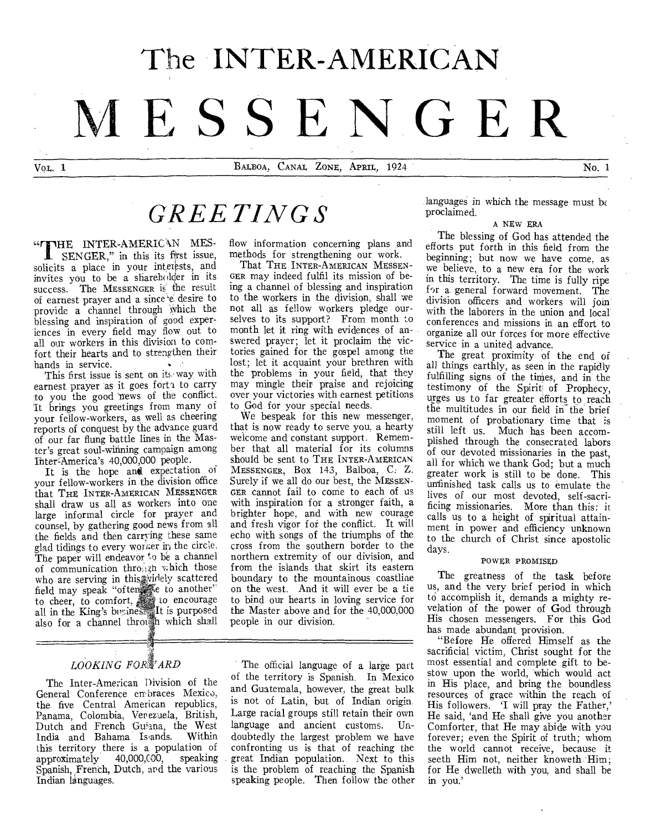The INTER-AMERICAN

# **MESSEN GER**

VOL. 1 **BALBOA, CANAL ZONE, APRIL, 1924** No. 1

## *GREETINGS*

"THE INTER-AMERICAN MESSENGER," in this its first issue, solicits a place in your inteipsts, and invites you to be a shareholder in its success. The MESSENGER is the result of earnest prayer and a since'e desire to provide a channel through which the blessing and inspiration of good experiences in every field may flow out to all our workers in this division to comfort their hearts and to strengthen their hands in service.

This first issue is sent on its way with earnest prayer as it goes forth to carry to you the good news of the conflict. It brings you greetings from many of your fellow-workers, as well as cheering reports of conquest by the advance guard of our far flung battle lines in the Master's great soul-winning campaign among Inter-America's 40,000,000 people.

It is the hope and expectation of your fellow-workers in the division office that THE INTER-AMERICAN MESSENGER shall draw us all as workers into one large informal circle for prayer and counsel, by gathering good news from all the fields and then carrying these same glad tidings to every worker in the circle. The paper will endeavor to be a channel of communication thro; ; in which those who are serving in this widely scattered field may speak "often the to another" to cheer, to comfort, to encourage all in the King's business. It is purposed also for a channel through which shall

#### *LOOKING FORIPARD*

The Inter-American Division of the General Conference em braces Mexico, the five Central American republics, Panama, Colombia, Venezuela, British, Dutch and French Guiana, the West India and Bahama Islands. Within this territory there is a population of approximately 40,000,000, speaking Spanish, French, Dutch, and the various Indian languages.

flow information concerning plans and methods for strengthening our work.

That THE INTER-AMERICAN MESSEN-GER may indeed fulfil its mission of being a channel of blessing and inspiration to the workers in the division, shall we not all as fellow workers pledge ourselves to its support? From month to month let it ring with evidences of answered prayer; let it proclaim the victories gained for the gospel among the lost; let it acquaint your brethren with the problems in your field, that they may mingle their praise and rejoicing over your victories with earnest petitions to God for your special needs.

We bespeak for this new messenger, that is now ready to serve you, a hearty welcome and constant support. Remember that all material for its columns should be sent to THE INTER-AMERICAN MESSENGER, Box 143, Balboa, C: Z. Surely if we all do our best, the MESSEN-GER cannot fail to come to each of us with inspiration for a stronger faith, a brighter hope, and with new courage and fresh vigor for the conflict. It will echo with songs of the triumphs of the cross from the southern border to the northern extremity of our division, and from the islands that skirt its eastern boundary to the mountainous coastline on the west. And it will ever be a tie to bind our hearts in loving service for the Master above and for the 40,000,000 people in our division.

The official language of a large part of the territory is Spanish. In Mexico and Guatemala, however, the great bulk is not of Latin, but of Indian origin. Large racial groups still retain their own language and ancient customs. Undoubtedly the largest problem we have confronting us is that of reaching the great Indian population. Next to this is the problem of reaching the Spanish speaking people. Then follow the other languages in which the message must be proclaimed.

#### A NEW ERA

The blessing of God has attended the efforts put forth in this field from the beginning; but now we have come, as we believe, to a new era for the work in this territory. The time is fully ripe for a general forward movement. The division officers and workers will join with the laborers in the union and local conferences and missions in an effort to organize all our forces for more effective service in a united advance.

The great proximity of the end of all things earthly, as seen in the rapidly fulfilling signs of the tines, and in the testimony of the Spirit of Prophecy, urges us to far greater efforts to reach the multitudes in our field in the brief moment of probationary time that is still left us. Much has been accomplished through the consecrated labors of our devoted missionaries in the past, all for which we thank God; but a much greater work is still to be done. This unfinished task calls us to emulate the lives of our most devoted, self-sacrificing missionaries. More than this: it calls us to a height of spiritual attainment in power and efficiency unknown to the church of Christ since apostolic days.

#### POWER PROMISED

The greatness of the task before us, and the very brief period in which to accomplish it, demands a mighty revelation of the power of God through His chosen messengers. For this God has made abundant provision.

"Before He offered Himself as the sacrificial victim, Christ sought for the most essential and complete gift to bestow upon the world, which would act in His place, and bring the boundless resources of grace within the reach of His followers. 'I will pray the Father,' He said, 'and He shall give you another Comforter, that He may abide with you forever; even the Spirit of truth; whom the world cannot receive, because it seeth Him not, neither knoweth Him; for He dwelleth with you, and shall he in you.'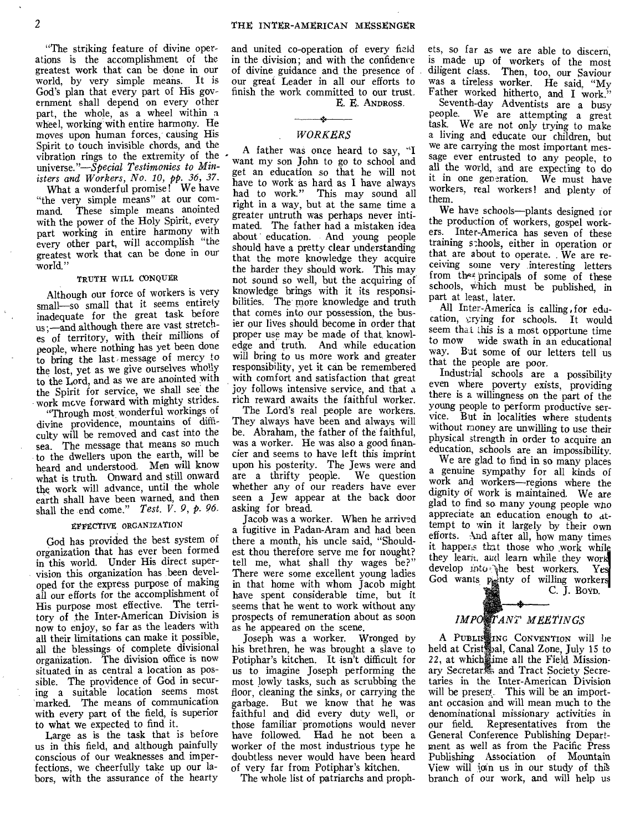"The striking feature of divine operations is the accomplishment of the greatest work that can be done in our world, by very simple means. It is God's plan that every part of His government shall depend on every other part, the whole, as a wheel within a wheel, working with entire harmony. He moves upon human forces, causing His Spirit to touch invisible chords, and the vibration rings to the extremity of the universe."—Special *Testimonies to Ministers and Workers, No. 10, pp. 36,* 37.

What a wonderful promise! We have "the very simple means" at our command. These simple means anointed with the power of the Holy Spirit, every part working in entire harmony with every other part, will accomplish "the greatest work that can be done in our world."

#### TRUTH WILL CONQUER

Although our force of workers is very small—so small that it seems entirely inadequate for the great task before us ;—and although there are vast stretches of territory, with their millions of people, where nothing has yet been done to bring the last message of mercy to the lost, yet as we give ourselves wholly to the Lord, and as we are anointed with the Spirit for service, we shall see the work move forward with mighty strides.

"Through most, wonderful workings of divine providence, mountains of difficulty will be removed and cast into the sea. The message that means so much to the dwellers upon the earth, will be heard and understood. Men will know what is truth. Onward and still onward the work will advance, until the whole earth shall have been warned, and then shall the end come." *Test. V. 9, p. 96.* 

#### EFFECTIVE ORGANIZATION

God has provided the best system of organization that has ever been formed in this world. Under His direct supervision this organization has been developed for the express purpose of making all our efforts for the accomplishment of His purpose most effective. The territory of the Inter-American Division is now to enjoy, so far as the leaders with all their limitations can make it possible, all the blessings of complete divisional organization. The division office is now situated in as central a location as possible. The providence of God in securing a suitable location seems most marked. The means of communication with every part of the field, is superior to what we expected to find it.

Large as is the task that is before us in this field, and although painfully conscious of our weaknesses and imperfections, we cheerfully take up our labors, with the assurance of the hearty

and united co-operation of every field in the division; and with the confidence of divine guidance and the presence of our great Leader in all our efforts to finish the work committed to our trust. E. E. ANDROSS.

#### *1 WORKERS*

A father was once heard to say, "I want my son John to go to school and get an education so that he will not have to work as hard as I have always had to work." This may sound all right in a way, but at the same time a greater untruth was perhaps never intimated. The father had a mistaken idea about education. And young people should have a pretty clear understanding that the more knowledge they acquire the harder they should work. This may not sound so well, but the acquiring of knowledge brings with it its responsibilities. The more knowledge and truth that comes into our possession, the busier our lives should become in order that proper use may be made of that, knowledge and truth. And while education will bring to us more work and greater responsibility, yet it can be remembered with comfort and satisfaction that great joy follows intensive service, and that a rich reward awaits the faithful worker.

The Lord's real people are workers. They always have been and always will be. Abraham, the father of the faithful, was a worker. He was also a good financier and seems to have left this imprint upon his posterity. The Jews were and are a thrifty people. We question whether any of our readers have ever seen a Jew appear at the back door asking for bread.

Jacob was a worker. When he arrived a fugitive in Padan-Aram and had been there a month, his uncle said, "Shouldest thou therefore serve me for nought? tell me, what shall thy wages be?" There were some excellent young ladies in that home with whom Jacob might have spent considerable time, but it seems that he went to work without any prospects of remuneration about as soon as he appeared on the scene.

Joseph was a worker. Wronged by his brethren, he was brought a slave to Potiphar's kitchen. It isn't difficult for us to imagine Joseph performing the most lowly tasks, such as scrubbing the floor, cleaning the sinks, or carrying the garbage. But we know that he was faithful and did every duty well, or those familiar promotions would never have followed. Had he not been a worker of the most industrious type he doubtless never would have been heard of very far from Potiphar's kitchen.

The whole list of patriarchs and proph-

ets, so far as we are able to discern, is made up of workers of the most diligent class. Then, too, our Saviour was a tireless worker. He said, "My Father worked hitherto, and I work.

Seventh-day Adventists are a busy people. We are attempting a great task. We are not only trying to make a living and educate our children, but we are carrying the most important message ever entrusted to any people, to all the world, and are expecting to do it in one generation. We must have workers, real workers! and plenty of them.

We have schools---plants designed for the production of workers, gospel workers. Inter-America has seven of these training s:hools, either in operation or that are about to operate. We are receiving some very interesting letters from the principals of some of these schools, which must be published, in part at least, later.

All Inter-America is calling ,for education, crying for schools. It would seem that this is a most opportune time to mow wide swath in an educational way. But some of our letters tell us that the people are poor.

Industrial schools are a possibility even where poverty exists, providing there is a willingness on the part of the young people to perform productive service. But in localities where students without money are unwilling to use their physical strength in order to acquire an education, schools are an impossibility.

We are glad to find in so many places a genuine sympathy for all kinds of work and workers—regions where the dignity of work is maintained. We are glad to find so many young people who appreciate an education enough to attempt to win it largely by their own efforts. And after all, how many times it happens that those who work while they learn, and learn while they work develop into, the best workers. Yes God wants  $\lim_{\epsilon \to 0}$  of willing workers C. J. Boyn.

#### *\$ IMP ANT MEETINGS*

A PUBLISSING CONVENTION will be held at Crist al, Canal Zone, July 15 to 22, at which ime all the Field Missionary Secretar感 and Tract Society Secretaries in the Inter-American Division will be present. This will be an important occasion and will mean much to the denominational missionary activities in our field. Representatives from the General Conference Publishing Department as well as from the Pacific Press Publishing Association of Mountain View will join us in our study of this branch of our work, and will help us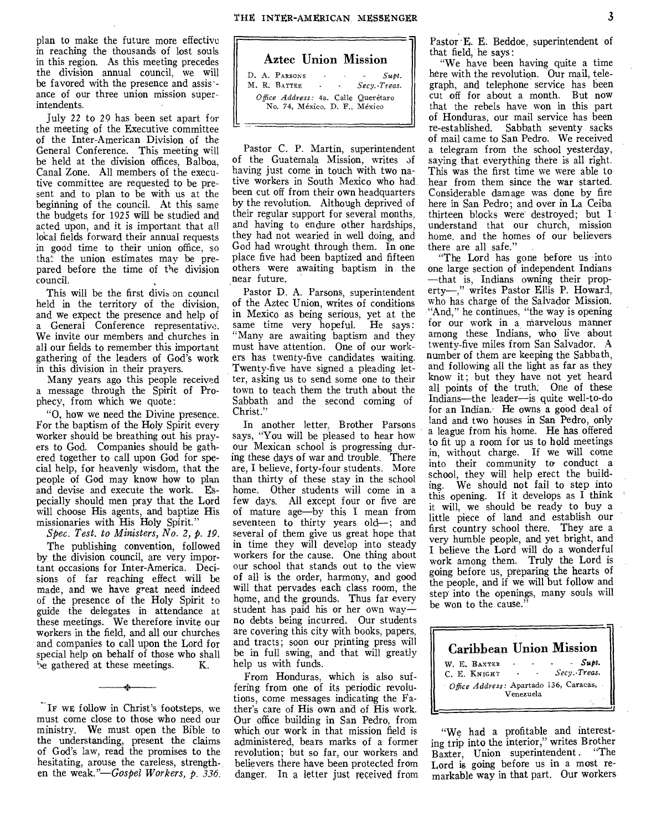plan to make the future more effective in reaching the thousands of lost souls in this region. As this meeting precedes the division annual council, we will be favored with the presence and assis- ance of our three union mission superintendents.

July 22 to 29 has been set apart for the meeting of the Executive committee of the Inter-American Division of the General Conference. This meeting will be held at the division offices, Balboa, Canal Zone. All members of the executive committee are requested to be present and to plan to be with us at the beginning of the council. At this same the budgets for 1925 will be studied and acted upon, and it is important that all local fields forward their annual requests in good time to their union office, so that the union estimates may be prepared before the time of the division council.

This will be the first division council held in the territory of the division, and we expect the presence and help of a General Conference representative. We invite our members and churches in all our fields to remember this important gathering of the leaders of God's work in this division in their prayers.

Many years ago this people received a message through the Spirit of Prophecy, from which we quote:

"0, how we need the Divine presence. For the baptism of the Holy Spirit every worker should be breathing out his prayers to God. Companies should be gathered together to call upon God for special help, for heavenly wisdom, that the people of God may know how to plan and devise and execute the work. Especially should men pray that the Lord will choose His agents, and baptize His missionaries with His Holy Spirit."

*Spec. Test. to Ministers, No. 2, p. 19.*  The publishing convention, followed by the division council, are very important occasions for Inter-America. Decisions of far reaching effect will be made, and we have great need indeed of the presence of the Holy Spirit to guide the delegates in attendance at these meetings. We therefore invite our workers in the field, and all our churches and companies to call upon the Lord for special help on behalf of those who shall<br>be gathered at these meetings.  $K$ . be gathered at these meetings.

IF WE follow in Christ's footsteps, we must come close to those who need our ministry. We must open the Bible to the understanding, present the claims of God's law, read the promises to the hesitating, arouse the careless, strengthen the *weak."—Gospel Workers, p. 336.* 

| Aztec Union Mission                                                         |  |  |  |  |  |
|-----------------------------------------------------------------------------|--|--|--|--|--|
| D. A. PARSONS<br>Subt.<br>Secy. Treas.<br>M. R. BATTER<br><b>Contractor</b> |  |  |  |  |  |
| Office Address: 4a. Calle Querétaro<br>No. 74. México, D. F., México        |  |  |  |  |  |

Pastor C. P. Martin, superintendent of the Guatemala Mission, writes of having just come in touch with two native workers in South Mexico who had been cut off from their own headquarters by the revolution. Although deprived of their regular support for several months, and having to endure other hardships, they had not wearied in well doing, and God had wrought through them. In one place five had been baptized and fifteen others were awaiting baptism in the near future.

Pastor D. A. Parsons, superintendent of the Aztec Union, writes of conditions in Mexico as being serious, yet at the same time very hopeful. He says: "Many are awaiting baptism and they must have attention. One of our workers has twenty-five candidates waiting. Twenty-five have signed a pleading letter, asking us to send some one to their town to teach them the truth about the Sabbath and the second coming of Christ."

In another letter, Brother Parsons says, "You will be pleased to hear how our Mexican school is progressing during these days of war and trouble. There are, I believe, forty-four students. More than thirty of these stay in the school home. Other students will come in a few days. All except four or five are of mature age—by this I mean from seventeen to thirty years old—; and several of them give us great hope that in time they will develop into steady workers for the cause. One thing about our school that stands out to the view of all is the order, harmony, and good will that pervades each class room, the home, and the grounds. Thus far every student has paid his or her own way no debts being incurred. Our students are covering this city with books, papers, and tracts; soon our printing press will be in full swing, and that will greatly help us with funds.

From Honduras, which is also suffering from one of its periodic revolutions, come messages indicating the Father's care of His own and of His work. Our office building in San Pedro, from which our work in that mission field is administered, bears marks of a former revolution; but so far, our workers and believers there have been protected from danger. In a letter just received from Pastor E. E. Beddoe, superintendent of that field, he says:

"We have been having quite a time here with the revolution. Our mail, telegraph, and telephone service has been cut off for about a month. But now that the rebels have won in this part of Honduras, our mail service has been re-established. Sabbath seventy sacks of mail came to San Pedro. We received a telegram from the school yesterday, saying that everything there is all right. This was the first time we were able to hear from them since the war started. Considerable damage was done by fire here in San Pedro; and over in La Ceiba thirteen blocks were destroyed; but I understand that our church, mission home, and the homes of our believers there are all safe."

"The Lord has gone before us into one large section of independent Indians —that is, Indians owning their property—," writes Pastor Ellis P. Howard, who has charge of the Salvador Mission. "And," he continues, "the way is opening for our work in a marvelous manner among these Indians, who live about twenty-five miles from San Salvador. A number of them are keeping the Sabbath, and following all the light as far as they know it; but they have not yet heard all points of the truth. One of these Indians—the leader—is quite well-to-do for an Indian. He owns a good deal of land and two houses in San Pedro, only a league from his home. He has offered to fit up a room for us to hold meetings in, without charge. If we will come into their community to conduct a school, they will help erect the building. We should not fail to step into this opening. If it develops as I think it will, we should be ready to buy a little piece of land and establish our first country school there. They are a very humble people, and yet bright, and I believe the Lord will do a wonderful work among them. Truly the Lord is going before us, preparing the hearts of the people, and if we will but follow and step into the openings, many souls will be won to the cause."

| <b>Caribbean Union Mission</b>         |           |  |                          |
|----------------------------------------|-----------|--|--------------------------|
| W. E. BAXTER<br>C. E. KNIGHT           |           |  | $-Supt.$<br>Secy. Treas. |
| Office Address: Apartado 136, Caracas, | Venezuela |  |                          |

"We had a profitable and interesting trip into the interior," writes Brother Baxter, Union superintendent . "The Lord is going before us in a most remarkable way in that part. Our workers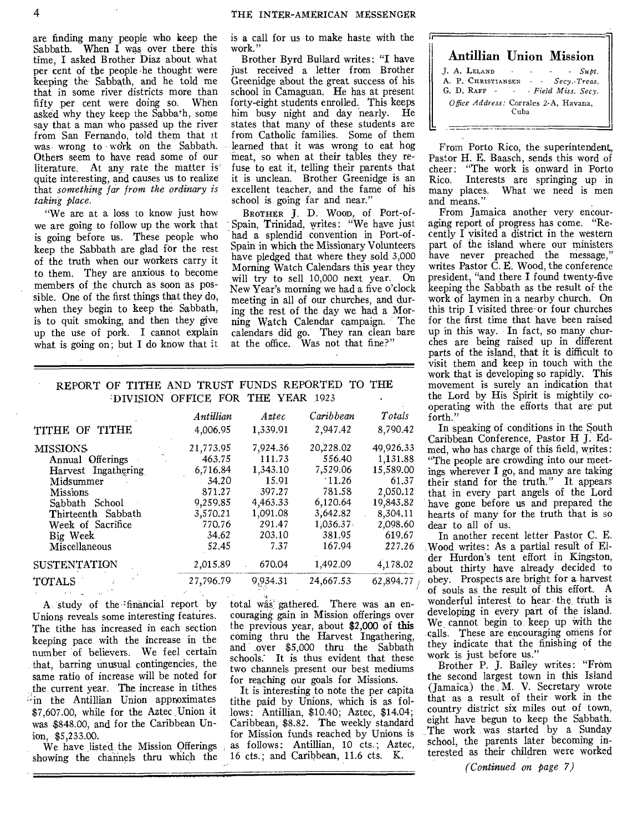are finding many people who keep the Sabbath. When I was over there this time, I asked Brother Diaz about what per cent of the people .he thought were keeping the Sabbath, and he told me that in some river districts more than<br>fifty per cent were doing so. When fifty per cent were doing so. asked why they keep the Sabba<sup>t</sup>h, some say that a man who passed up the river from San Fernando, told them that it was wrong to work on the Sabbath. Others seem to have read some of our literature. At any rate the matter is quite interesting, and causes us to realize that *something far from the ordinary is taking place.* 

"We are at a loss to know just how we are going to follow up the work that is going before us. These people who keep the Sabbath are glad for the rest of the truth when our workers carry it to them. They are anxious to become members of the church as soon as possible. One of the first things that they do, when they begin to keep the. Sabbath, is to quit smoking, and then they give up the use of pork. I cannot explain what is going on; but I do know that it

is a call for us to make haste with the work."

Brother Byrd Bullard writes: "I have just received a letter from Brother Greenidge about the great success of his school in Camaguan. He has at present forty-eight students enrolled. This keeps him busy night and day nearly. He states that many of these students are from Catholic families. Some of them learned that it was wrong to eat hog meat, so when at their tables they refuse to eat it, telling their parents that it is unclean. Brother Greenidge is an excellent teacher, and the fame of his school is going far and near.'

BROTHER J. D. Woon, of Port-of-Spain, Trinidad, writes: "We have just had a splendid convention in Port-of-Spain in which the Missionary Volunteers have pledged that where they sold 3,000 Morning Watch Calendars this year they will try to sell 10,000 next year. On New Year's morning we had a five o'clock meeting in all of our churches, and during the rest of the day we had a Morning Watch Calendar campaign. The calendars did go. They ran clean bare at the office. Was not that fine?"

|                     | Antillian | Aztec    | Caribbean | Totals      |
|---------------------|-----------|----------|-----------|-------------|
| TITHE OF TITHE      | 4.006.95  | 1,339.91 | 2,947.42  | 8,790.42    |
| <b>MISSIONS</b>     | 21,773.95 | 7,924.36 | 20,228.02 | 49,926.33   |
| Annual Offerings    | 463.75    | 111.73   | 556.40    | 1,131.88    |
| Harvest Ingathering | 6,716.84  | 1,343.10 | 7.529.06  | 15,589.00   |
| Midsummer           | 34.20     | 15.91    | 11.26     | 61.37       |
| <b>Missions</b>     | 871.27    | 397.27   | 781.58    | 2,050.12    |
| Sabbath School      | 9,259.85  | 4,463.33 | 6,120.64  | 19,843.82   |
| Thirteenth Sabbath  | 3,570.21  | 1,091.08 | 3,642.82  | 8,304.11    |
| Week of Sacrifice   | 770.76    | 291.47   | 1.036.37  | 2,098.60    |
| Big Week            | 34.62     | 203.10   | 381.95    | 619.67      |
| Miscellaneous       | 52.45     | 7.37     | 167.94    | 227.26      |
| <b>SUSTENTATION</b> | 2,015.89  | 670.04   | 1,492.09  | 4,178.02    |
| TOTALS              | 27,796.79 | 9,934.31 | 24,667.53 | 62,894.77 / |
|                     |           |          |           |             |

REPORT OF TITHE AND TRUST FUNDS REPORTED TO THE DIVISION OFFICE FOR THE YEAR 1923

A study of the financial report by Unions reveals some interesting features. The tithe has increased in each section keeping pace with the increase in the number of believers. We feel certain that, barring unusual contingencies, the same ratio of increase will be noted for the current year. The increase in tithes in the Antillian Union approximates \$7,607.00, while for the Aztec Union it was \$848.00, and for the Caribbean Union, \$5,233.00.

We have listed the Mission Offerings showing the channels thru which the

total was: gathered. There was an encouraging gain in Mission offerings over the previous year, about \$2,000 of this coming thru the Harvest Ingathering, and over \$5,000 thru the Sabbath schools. It is thus evident that these two channels present our best mediums for reaching our goals for Missions.

It is interesting to note the per capita tithe paid by Unions, which is as follows: Antillian, \$10.40; Aztec, \$14.04; Caribbean, \$8.82. The weekly standard for Mission funds reached by Unions is as follows: Antillian, 10 cts.; Aztec, 16 cts.; and Caribbean, 11.6 cts. K.

| <b>Antillian Union Mission</b>                                           |      |                                   |
|--------------------------------------------------------------------------|------|-----------------------------------|
| J. A. LELAND<br>A. P. CHRISTIANSEN - - Secy.-Treas.<br>$G. D. R_{AFF}$ . |      | $  Subt$ .<br>- Field Miss. Secy. |
| Office Address: Corrales 2-A, Havana,                                    | Cuba |                                   |

From Porto Rico, the superintendent, Pastor H. E. Baasch, sends this word of cheer: "The work is onward in Porto Rico. Interests are springing up in<br>many places. What we need is men What we need is men and means."

From Jamaica another very encouraging report of progress has come. "Recently I visited a district in the western part of the island where our ministers have never preached the message, writes Pastor C. E. Wood, the conference president, "and there I found twenty-five keeping the Sabbath as the result of the work of laymen in a nearby church. On this trip I visited three•or four churches for the first time that have been raised up in this way. In fact, so many churches are being raised up in different parts of the island, that it is difficult to visit them and keep in touch with the work that is developing so rapidly. This movement is surely an indication that the Lord by His Spirit is mightily cooperating with the efforts that are put forth."

In speaking of conditions in the South Caribbean Conference, Pastor H J. Edmed, who has charge of this field, writes: "The people are crowding into our meetings wherever I go, and many are taking their stand for the truth." It appears that in every part angels of the Lord have gone before us and prepared the hearts of many for the truth that is so dear to all of us.

In another recent letter Pastor C. E. Wood writes: As a partial result of Elder Hurdon's tent effort in Kingston, about thirty have already decided to obey. Prospects are bright for a harvest of souls as the result of this effort. A wonderful interest to hear the truth is developing in every part of the island. We cannot begin to, keep up with the calls. These are encouraging omens for they indicate that the finishing of the work is just before us.'

Brother P. J. Bailey writes: "From the second largest town in this Island (Jamaica) the M. V. Secretary wrote that as a result of their work in the country district six miles out of town, eight have begun to keep the Sabbath. The work was started by a Sunday school, the parents later becoming interested as their children were worked

*(Continued on page 7)*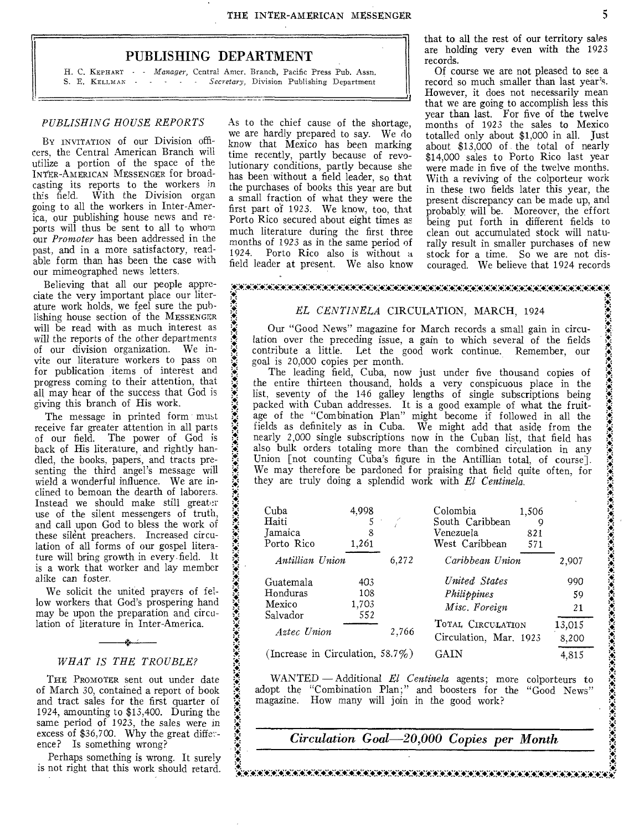#### PUBLISHING DEPARTMENT

H. C. KEPHART - *Manager*, Central Amer. Branch, Pacific Press Pub. Assn. Secretary, Division Publishing Department

#### *PUBLISHING HOUSE REPORTS*

BY INVITATION of our Division officers, the Central American Branch will utilize a portion of the space of the INTER-AMERICAN MESSENGER for broadcasting its reports to the workers in this field. With the Division organ With the Division organ going to all the workers in Inter-America, our publishing house news and reports will thus be sent to all to whom our *Promoter* has been addressed in the past, and in a more satisfactory, readable form than has been the case with our mimeographed news letters.

Believing that all our people appreciate the very important place our literature work holds, we feel sure the publishing house section of the MESSENGER will be read with as much interest as will the reports of the other departments of our division organization. We invite our literature workers to pass on for publication items of interest and progress coming to their attention, that all may hear of the success that God is giving this branch of His work.

The message in printed form must receive far greater attention in all parts of our field. The power of God is back of His literature, and rightly handled, the books, papers, and tracts presenting the third angel's message will wield a wonderful influence. We are inclined to bemoan the dearth of laborers. Instead we should make still greater use of the silent messengers of truth, and call upon God to bless the work of these silent preachers. Increased circulation of all forms of our gospel literature will bring growth in every. field. It is a work that worker and lay member alike can foster.

We solicit the united prayers of fellow workers that God's prospering hand may be upon the preparation and circulation of literature in Inter-America.

#### *WHAT IS THE TROUBLE?*

THE PROMOTER sent out under date of March 30, contained a report of book and tract sales for the first quarter of 1924, amounting to \$13,400. During the same period of 1923, the sales were in excess of \$36,700. Why the great difference? Is something wrong?

Perhaps something is wrong. It surely is not right that this work should retard.

As to the chief cause of the shortage, we are hardly prepared to say. We do know that Mexico has been marking time recently, partly because of revolutionary conditions, partly because she has been without a field leader, so that the purchases of books this year are but a small fraction of what they were the first part of 1923. We know, too, that Porto Rico secured about eight times as much literature during the first three months of 1923 as in the same period of 1924. Porto Rico also is without a field leader at present. We also know

that to all the rest of our territory sales are holding very even with the 1923 records.

Of course we are not pleased to see a record so much smaller than last year's. However, it does not necessarily mean that we are going to accomplish less this year than last. For five of the twelve months of 1923 the sales to Mexico totalled only about \$1,000 in all. Just about \$13,000 of the total of nearly \$14,000 sales to Porto Rico last year were made in five of the twelve months. With a reviving of the colporteur work in these two fields later this year, the present discrepancy can be made up, and probably will be. Moreover, the effort being put forth in different fields to clean out accumulated stock will naturally result in smaller purchases of new stock for a time. So we are not discouraged. We believe that 1924 records

 $\frac{1}{4}$ 

#### EL CENTINELA CIRCULATION, MARCH, 1924

|                                  |                                  |       | EL CENTINELA CIRCULATION, MARCH, 1924                                                                                                                                                                                                                                                                                                                                                                                                                                                                                                                                                                                                              |        |
|----------------------------------|----------------------------------|-------|----------------------------------------------------------------------------------------------------------------------------------------------------------------------------------------------------------------------------------------------------------------------------------------------------------------------------------------------------------------------------------------------------------------------------------------------------------------------------------------------------------------------------------------------------------------------------------------------------------------------------------------------------|--------|
| goal is 20,000 copies per month. |                                  |       | Our "Good News" magazine for March records a small gain in circu-<br>lation over the preceding issue, a gain to which several of the fields<br>contribute a little. Let the good work continue. Remember, our<br>The leading field, Cuba, now just under five thousand copies of<br>the entire thirteen thousand, holds a very conspicuous place in the<br>list, seventy of the 146 galley lengths of single subscriptions being<br>packed with Cuban addresses. It is a good example of what the fruit-<br>age of the "Combination Plan" might become if followed in all the<br>fields as definitely as in Cuba. We might add that aside from the |        |
|                                  |                                  |       | nearly 2,000 single subscriptions now in the Cuban list, that field has                                                                                                                                                                                                                                                                                                                                                                                                                                                                                                                                                                            |        |
|                                  |                                  |       | also bulk orders totaling more than the combined circulation in any<br>Union [not counting Cuba's figure in the Antillian total, of course].                                                                                                                                                                                                                                                                                                                                                                                                                                                                                                       |        |
|                                  |                                  |       | We may therefore be pardoned for praising that field quite often, for                                                                                                                                                                                                                                                                                                                                                                                                                                                                                                                                                                              |        |
|                                  |                                  |       | they are truly doing a splendid work with El Centinela.                                                                                                                                                                                                                                                                                                                                                                                                                                                                                                                                                                                            |        |
|                                  |                                  |       |                                                                                                                                                                                                                                                                                                                                                                                                                                                                                                                                                                                                                                                    |        |
| Cuba                             | 4,998                            |       | Colombia<br>1,506                                                                                                                                                                                                                                                                                                                                                                                                                                                                                                                                                                                                                                  |        |
| Haiti                            | 5 <sup>1</sup>                   |       | South Caribbean                                                                                                                                                                                                                                                                                                                                                                                                                                                                                                                                                                                                                                    | 9      |
| <b>Tamaica</b>                   | 8                                |       | Venezuela<br>821                                                                                                                                                                                                                                                                                                                                                                                                                                                                                                                                                                                                                                   |        |
| Porto Rico                       | 1,261                            |       | West Caribbean<br>571                                                                                                                                                                                                                                                                                                                                                                                                                                                                                                                                                                                                                              |        |
| Antillian Union                  |                                  | 6,272 | Caribbean Union                                                                                                                                                                                                                                                                                                                                                                                                                                                                                                                                                                                                                                    | 2,907  |
| Guatemala                        | 403                              |       | United States                                                                                                                                                                                                                                                                                                                                                                                                                                                                                                                                                                                                                                      | 990    |
| Honduras                         | 108                              |       | Philippines                                                                                                                                                                                                                                                                                                                                                                                                                                                                                                                                                                                                                                        | 59     |
| Mexico                           | 1,703                            |       | Misc. Foreign                                                                                                                                                                                                                                                                                                                                                                                                                                                                                                                                                                                                                                      | 21     |
| Salvador                         | 552                              |       |                                                                                                                                                                                                                                                                                                                                                                                                                                                                                                                                                                                                                                                    |        |
|                                  |                                  |       |                                                                                                                                                                                                                                                                                                                                                                                                                                                                                                                                                                                                                                                    |        |
|                                  |                                  |       |                                                                                                                                                                                                                                                                                                                                                                                                                                                                                                                                                                                                                                                    | 8,200  |
|                                  | (Increase in Circulation, 58.7%) |       | <b>GAIN</b>                                                                                                                                                                                                                                                                                                                                                                                                                                                                                                                                                                                                                                        | 4,815  |
| Aztec Union                      |                                  | 2,766 | TOTAL CIRCULATION<br>Circulation, Mar. 1923                                                                                                                                                                                                                                                                                                                                                                                                                                                                                                                                                                                                        | 13,015 |

A'AWAAAAAAAA:AW:AXCAEAWAMMWWAXWAWAAWA'WAXWWWWAWAWAWAWAAWA'A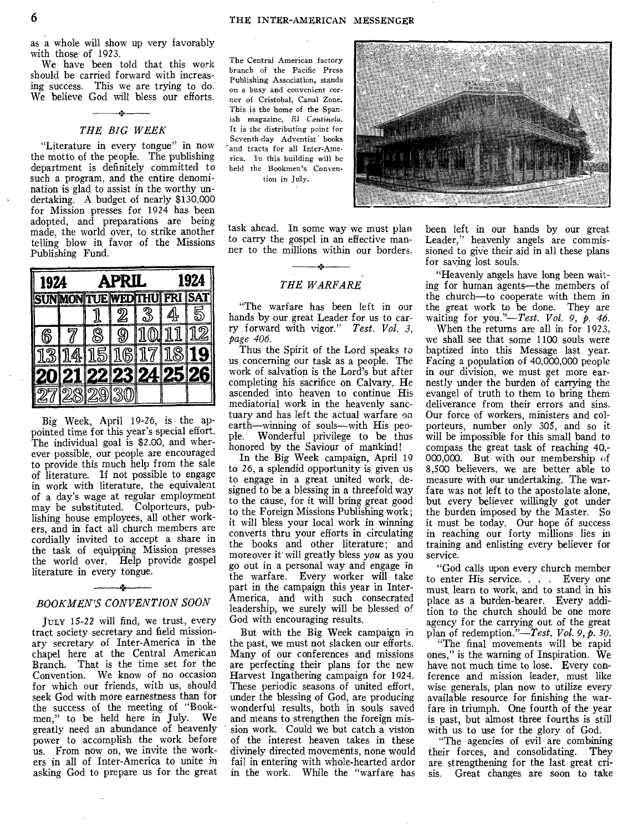as a whole will show up very favorably with those of 1923.

We have been told that this work should be carried forward with increasing success. This we are trying to do. We believe God will bless our efforts.

#### *THE BIG WEEK*

"Literature in every tongue" in now the motto of the people. The publishing department is definitely committed to such a program, and the entire denomination is glad to assist in the worthy undertaking. A budget of nearly \$130,000 for Mission presses for 1924 has been adopted, and preparations are being made, the world over, to strike another telling blow in, favor of the Missions Publishing Fund.

| 1924 | 1924<br>APRIL |    |          |                      |    |           |  |
|------|---------------|----|----------|----------------------|----|-----------|--|
| SUN  |               |    |          | N TUE WED THU FRI SA |    |           |  |
|      |               |    |          |                      |    | 5         |  |
| 6    |               | ලි |          |                      |    |           |  |
|      |               |    | 15 16 17 |                      |    | 9         |  |
| 21   | 012.          |    |          | 22 23 24             | 25 | <b>26</b> |  |
|      | Q             | ٩  |          |                      |    |           |  |

Big Week, April 19-26, is the appointed time for this year's special effort. The individual goal is \$2.00, and wherever possible, our people are encouraged to provide this much help from the sale of literature. If not possible to engage in work with literature, the equivalent of a day's wage at regular employment may be substituted. Colporteurs, publishing house employees, all other workers, and in fact all church members are cordially invited to accept a share in the task of equipping Mission presses the world over. Help provide gospel literature in every tongue.

#### *BOOKMEN'S CONVENTION SOON*

*JuLY 15-22* will find, we trust, every tract society secretary and field missionary secretary of Inter-America in the chapel here at the Central American Branch. That is the time set for the Convention. We know of no occasion for which our friends, with us, should seek God with more earnestness than for the success of the meeting of "Bookmen," to be held here in July. We greatly need an abundance of heavenly power to accomplish the work before us. From now on, we invite the workers in all of Inter-America to unite in asking God to prepare us for the great

The Central American factory branch of the Pacific Press Publishing Association, stands on a busy and convenient corner of Cristobal, Canal Zone. This is the home of the Spanish magazine, *El Centineta.*  It is the distributing point for Seventh-day Adventist' books 'and tracts for all Inter-America. In this building will be held the Bookmen's Convention in July.



#### *THE WARFARE*

ner to the millions within our borders.

"The warfare has been left in our hands by our great Leader for us to carry forward with vigor." *Test. Vol. 3, page 406.* 

Thus the Spirit of the Lord speaks to us concerning our task as a people. The work of salvation is the Lord's but after completing his sacrifice on Calvary, He ascended into heaven to continue His mediatorial work in the heavenly sanctuary and has left the actual warfare on earth—winning of souls—with His people. Wonderful privilege to be thus honored by the Saviour of mankind!

In the Big Week campaign, April 19 to 26, a splendid opportunity is given us to engage in a great united work, designed to be a blessing in a threefold way to the cause, for it will bring great good to the Foreign Missions Publishing work; it will bless your local work in winning converts thru your efforts in circulating the books and other literature; and moreover it-will greatly bless *you* as you go out in a personal way and engage in the warfare. Every worker will take part in the campaign this year in Inter-America, and with such consecrated leadership, we surely will be blessed of God with encouraging results.

But with the Big Week campaign in the past, we must not slacken our efforts. Many of our conferences and missions are perfecting their plans for the new Harvest Ingathering campaign for 1924. These periodic seasons of united effort, under the blessing of God, are producing wonderful results, both in souls saved and means to strengthen the foreign mission work. Could we but catch a vision of the interest heaven takes in these divinely directed movements, none would fail in entering with whole-hearted ardor in the work. While the "warfare has



been left in our hands by our great Leader," heavenly angels are commissioned to give their aid in all these plans for saving lost souls.

"Heavenly angels have long been waiting for human agents—the members of the church—to cooperate with them in the great work to be done. They are waiting for *you."—Test. Vol. 9, p. 46.* 

When the returns are all in for 1923, we shall see that some 1100 souls were baptized into this Message last year. Facing a population of 40,000,000 people in our division, we must get more earnestly under, the burden of carrying the evangel of truth to them to bring them deliverance from their errors and sins. Our force of workers, ministers and colporteurs, number only 305, and so it will be impossible for this small band to compass the great task of reaching 40,- 000,000. But with our membership of 8,500 believers, we are better able to measure with our undertaking. The warfare was not left to the apostolate alone, but every believer willingly got under the burden imposed by the Master. So it must be today. Our hope of success in reaching our forty millions lies in training and enlisting every believer for service.

"God calls upon every church member to enter His service. . . . Every one must, learn to work, and to stand in his place as a burden-bearer. Every addition to the church should be one more agency for the carrying out of the great plan of redemption."—Test. *Vol. 9, p. 30.* 

"The final movements will be rapid ones," is the warning of Inspiration. We have not much time to lose. Every conference and mission leader, must like wise generals, plan now to utilize every available resource for finishing the warfare in triumph. One fourth of the year is past, but almost three fourths is still with us to use for the glory of God.

"The agencies of evil are combining their forces, and consolidating. They are strengthening for the last great cri-<br>sis. Great changes are soon to take Great changes are soon to take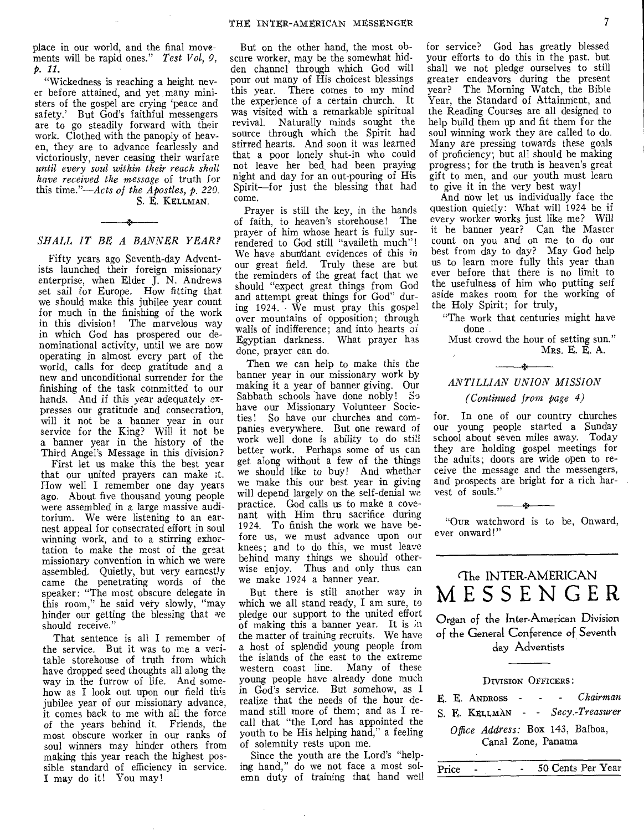place in our world, and the final movements will be rapid ones." *Test Vol, 9,*  p. 11.

"Wickedness is reaching a height never before attained, and yet many ministers of the gospel are crying 'peace and safety.' But God's faithful messengers are to go steadily forward with their work. Clothed with the panoply of heaven, they are to advance fearlessly and victoriously, never ceasing their warfare *until every soul within their reach shall have received the message* of truth for this *time."—Acts of the Apostles, p. 220. S. E.* KELLMAN.

### -24 *SHALL IT BE A BANNER YEAR?*

Fifty years ago Seventh-day Adventists launched their foreign missionary enterprise, when Elder J. N. Andrews set sail for Europe. How fitting that we should make this jubilee year count for much in the finishing of the work in this division! The marvelous way in which God has prospered our denominational activity, until we are now operating in almost every part of the world, calls fox deep gratitude and a new and unconditional surrender for the finishing of the task committed to our hands. And if this year adequately expresses our gratitude and consecration, will it not be a banner year in our service for the King? Will it not be a banner year in the history of the Third Angel's Message in this division?

First let us make this the best year that our united prayers can make it. How well I remember one day years ago. About five thousand young people were assembled in a large massive auditorium. We were listening to an earnest appeal for consecrated effort in soul winning work, and to a stirring exhortation to make the most of the great missionary convention in which we were assembled. Quietly, but very earnestly came the penetrating words of the speaker: "The most obscure delegate in this room," he said very slowly, "may hinder our getting the blessing that we should receive."

That sentence is all I remember of the service. But it was to me a veritable storehouse of truth from which have dropped seed thoughts all along the way in the furrow of life. And somehow as I look out upon our field this jubilee year of our missionary advance, it comes back to me with all the force of the years behind it. Friends, the most obscure worker in our ranks of soul winners may hinder others from making this year reach the highest possible standard of efficiency in service. I may do it! You may!

But on the other hand, the most obscure worker, may be the somewhat hidden channel through which God will pour out many of His choicest blessings this year. There comes to my mind the experience of a certain church. It was visited with a remarkable spiritual revival. Naturally minds sought the source through which the Spirit had stirred hearts. And soon it was learned that a poor lonely shut-in who could not leave her bed, had been praying night and day for an out-pouring of His Spirit—for just the blessing that had come.

Prayer is still the key, in the hands of faith, to heaven's storehouse! The prayer of him whose heart is fully surrendered to God still "availeth much"! We have abundant evidences of this in our great field. Truly these are but the reminders of the great fact that we should "expect great things from God and attempt great things for God" during 1924. • We must pray this gospel over mountains of opposition; through walls of indifference; and into hearts of Egyptian darkness. What prayer has done, prayer can do.

Then we can help to make this the banner year in our missionary work by making it a year of banner giving. Our Sabbath schools 'have done nobly! So have our Missionary Volunteer Societies! So have our churches and companies everywhere. But one reward of work well done is ability to do still better work. Perhaps some of us can get along without a few of the things we should like to buy! And whether we make this our best year in giving will depend largely on the self-denial we practice. God calls us to make a covenant with Him thru sacrifice during 1924. To finish the work we have before us, we must advance upon our knees; and to do this, we must leave behind many things we should otherwise enjoy. Thus and only thus can we make 1924 a banner year.

But there is still another way in which we all stand ready, I am sure, to pledge our support to the united effort of making this a banner year. It is in the matter of training recruits. We have a host of splendid young people from the islands of the east to the extreme western coast line. Many of these young people have already done much in God's service. But somehow, as I realize that the needs of the hour demand still more of them; and as I recall that "the Lord has appointed the youth to be His helping hand," a feeling of solemnity rests upon me.

Since the youth are the Lord's "helping hand," do we not face a most solemn duty of training that hand well

for service? God has greatly blessed your efforts to do this in the past, but shall we not pledge ourselves to still greater endeavors during the present year? The Morning Watch, the Bible Year, the Standard of Attainment, and the Reading Courses are all designed to help build them up and fit them for the soul winning work they are called to do. Many are pressing towards these goals of proficiency; but all should be making progress; for the truth is heaven's great gift to men, and our youth must learn to give it in the very best way!

And now let us individually face the question quietly: What will 1924 be if every worker works just like me? Will it be banner year? Can the Master count on you and on me to do our best from day to day? May God help us to learn more fully this year than ever before that there is no limit to the usefulness of him who putting self aside makes room for the working of the Holy Spirit; for truly,

"The work that centuries might have done

Must crowd the hour of setting sun." MRS. E. E. A.

### *ANTILLIAN UNION MISSION (Continued from page 4)*

for. In one of our country churches our young people started a Sunday school about seven miles away. Today they are holding gospel meetings for the adults; doors are wide open to receive the message and the messengers, and prospects are bright for a rich harvest of souls."

"OUR watchword is to be, Onward, ever onward!"

### 'The INTER-AMERICAN MESSENGER

Organ of the Inter-American Division of the General Conference of Seventh day Adventists

#### DIVISION OFFICERS:

- E. E. ANDRoss - *Chairman*
- S. E. KELLMAN - *Secy.-Treasurer*

*Office Address:* Box 143, Balboa, Canal Zone, Panama

Price - - - 50 Cents Per Year